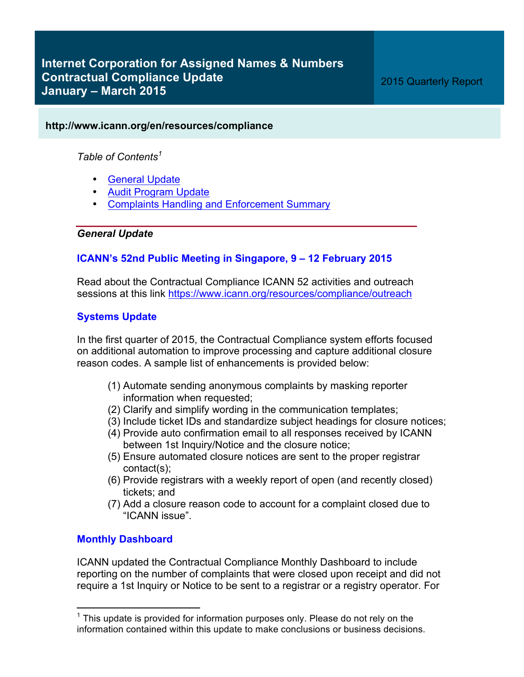## **http://www.icann.org/en/resources/compliance**

*Table of Contents<sup>1</sup>*

- General Update
- Audit Program Update
- Complaints Handling and Enforcement Summary

## *General Update*

## **ICANN's 52nd Public Meeting in Singapore, 9 – 12 February 2015**

Read about the Contractual Compliance ICANN 52 activities and outreach sessions at this link https://www.icann.org/resources/compliance/outreach

## **Systems Update**

In the first quarter of 2015, the Contractual Compliance system efforts focused on additional automation to improve processing and capture additional closure reason codes. A sample list of enhancements is provided below:

- (1) Automate sending anonymous complaints by masking reporter information when requested;
- (2) Clarify and simplify wording in the communication templates;
- (3) Include ticket IDs and standardize subject headings for closure notices;
- (4) Provide auto confirmation email to all responses received by ICANN between 1st Inquiry/Notice and the closure notice;
- (5) Ensure automated closure notices are sent to the proper registrar contact(s);
- (6) Provide registrars with a weekly report of open (and recently closed) tickets; and
- (7) Add a closure reason code to account for a complaint closed due to "ICANN issue".

## **Monthly Dashboard**

ICANN updated the Contractual Compliance Monthly Dashboard to include reporting on the number of complaints that were closed upon receipt and did not require a 1st Inquiry or Notice to be sent to a registrar or a registry operator. For

 $1$  This update is provided for information purposes only. Please do not rely on the information contained within this update to make conclusions or business decisions.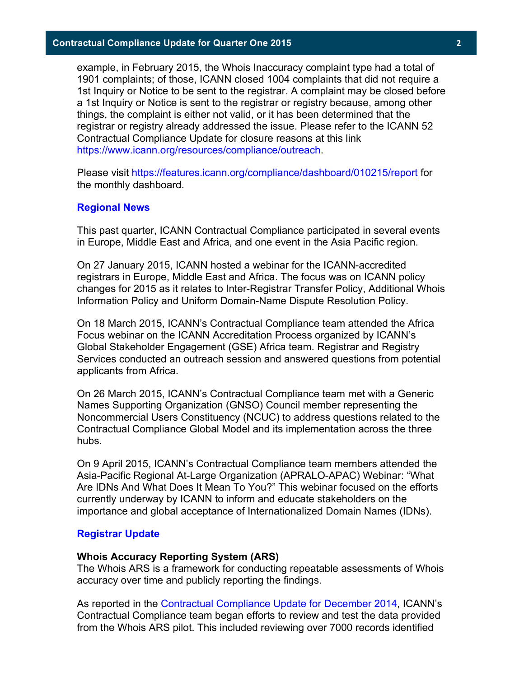example, in February 2015, the Whois Inaccuracy complaint type had a total of 1901 complaints; of those, ICANN closed 1004 complaints that did not require a 1st Inquiry or Notice to be sent to the registrar. A complaint may be closed before a 1st Inquiry or Notice is sent to the registrar or registry because, among other things, the complaint is either not valid, or it has been determined that the registrar or registry already addressed the issue. Please refer to the ICANN 52 Contractual Compliance Update for closure reasons at this link https://www.icann.org/resources/compliance/outreach.

Please visit https://features.icann.org/compliance/dashboard/010215/report for the monthly dashboard.

#### **Regional News**

This past quarter, ICANN Contractual Compliance participated in several events in Europe, Middle East and Africa, and one event in the Asia Pacific region.

On 27 January 2015, ICANN hosted a webinar for the ICANN-accredited registrars in Europe, Middle East and Africa. The focus was on ICANN policy changes for 2015 as it relates to Inter-Registrar Transfer Policy, Additional Whois Information Policy and Uniform Domain-Name Dispute Resolution Policy.

On 18 March 2015, ICANN's Contractual Compliance team attended the Africa Focus webinar on the ICANN Accreditation Process organized by ICANN's Global Stakeholder Engagement (GSE) Africa team. Registrar and Registry Services conducted an outreach session and answered questions from potential applicants from Africa.

On 26 March 2015, ICANN's Contractual Compliance team met with a Generic Names Supporting Organization (GNSO) Council member representing the Noncommercial Users Constituency (NCUC) to address questions related to the Contractual Compliance Global Model and its implementation across the three hubs.

On 9 April 2015, ICANN's Contractual Compliance team members attended the Asia-Pacific Regional At-Large Organization (APRALO-APAC) Webinar: "What Are IDNs And What Does It Mean To You?" This webinar focused on the efforts currently underway by ICANN to inform and educate stakeholders on the importance and global acceptance of Internationalized Domain Names (IDNs).

#### **Registrar Update**

#### **Whois Accuracy Reporting System (ARS)**

The Whois ARS is a framework for conducting repeatable assessments of Whois accuracy over time and publicly reporting the findings.

As reported in the Contractual Compliance Update for December 2014, ICANN's Contractual Compliance team began efforts to review and test the data provided from the Whois ARS pilot. This included reviewing over 7000 records identified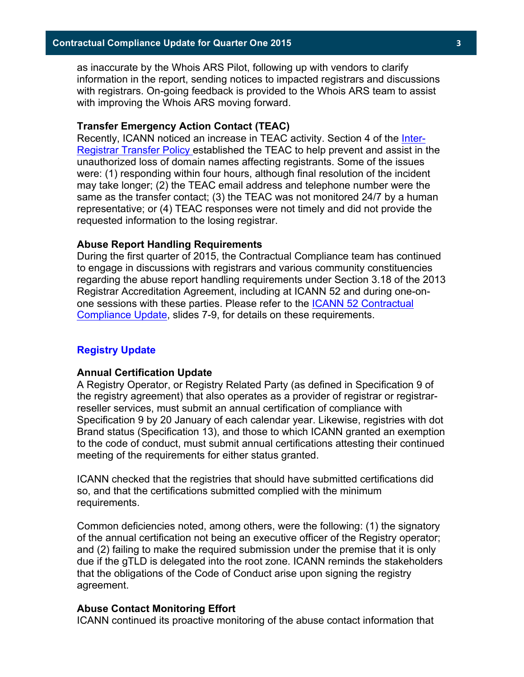as inaccurate by the Whois ARS Pilot, following up with vendors to clarify information in the report, sending notices to impacted registrars and discussions with registrars. On-going feedback is provided to the Whois ARS team to assist with improving the Whois ARS moving forward.

#### **Transfer Emergency Action Contact (TEAC)**

Recently, ICANN noticed an increase in TEAC activity. Section 4 of the Inter-Registrar Transfer Policy established the TEAC to help prevent and assist in the unauthorized loss of domain names affecting registrants. Some of the issues were: (1) responding within four hours, although final resolution of the incident may take longer; (2) the TEAC email address and telephone number were the same as the transfer contact; (3) the TEAC was not monitored 24/7 by a human representative; or (4) TEAC responses were not timely and did not provide the requested information to the losing registrar.

#### **Abuse Report Handling Requirements**

During the first quarter of 2015, the Contractual Compliance team has continued to engage in discussions with registrars and various community constituencies regarding the abuse report handling requirements under Section 3.18 of the 2013 Registrar Accreditation Agreement, including at ICANN 52 and during one-onone sessions with these parties. Please refer to the ICANN 52 Contractual Compliance Update, slides 7-9, for details on these requirements.

#### **Registry Update**

#### **Annual Certification Update**

A Registry Operator, or Registry Related Party (as defined in Specification 9 of the registry agreement) that also operates as a provider of registrar or registrarreseller services, must submit an annual certification of compliance with Specification 9 by 20 January of each calendar year. Likewise, registries with dot Brand status (Specification 13), and those to which ICANN granted an exemption to the code of conduct, must submit annual certifications attesting their continued meeting of the requirements for either status granted.

ICANN checked that the registries that should have submitted certifications did so, and that the certifications submitted complied with the minimum requirements.

Common deficiencies noted, among others, were the following: (1) the signatory of the annual certification not being an executive officer of the Registry operator; and (2) failing to make the required submission under the premise that it is only due if the gTLD is delegated into the root zone. ICANN reminds the stakeholders that the obligations of the Code of Conduct arise upon signing the registry agreement.

#### **Abuse Contact Monitoring Effort**

ICANN continued its proactive monitoring of the abuse contact information that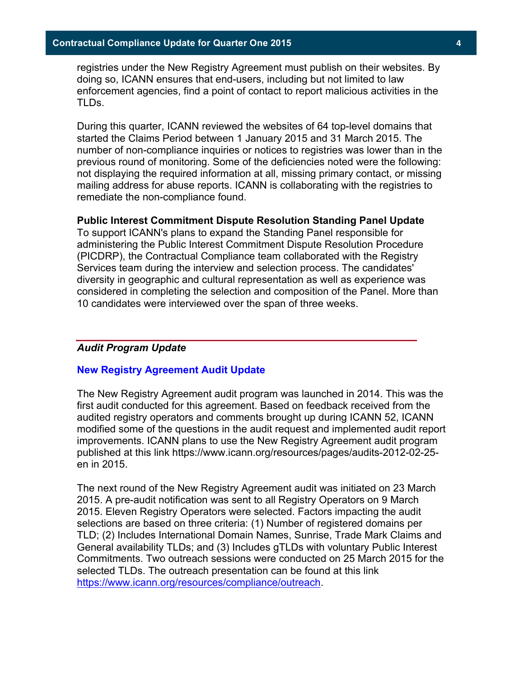registries under the New Registry Agreement must publish on their websites. By doing so, ICANN ensures that end-users, including but not limited to law enforcement agencies, find a point of contact to report malicious activities in the TLDs.

During this quarter, ICANN reviewed the websites of 64 top-level domains that started the Claims Period between 1 January 2015 and 31 March 2015. The number of non-compliance inquiries or notices to registries was lower than in the previous round of monitoring. Some of the deficiencies noted were the following: not displaying the required information at all, missing primary contact, or missing mailing address for abuse reports. ICANN is collaborating with the registries to remediate the non-compliance found.

#### **Public Interest Commitment Dispute Resolution Standing Panel Update**

To support ICANN's plans to expand the Standing Panel responsible for administering the Public Interest Commitment Dispute Resolution Procedure (PICDRP), the Contractual Compliance team collaborated with the Registry Services team during the interview and selection process. The candidates' diversity in geographic and cultural representation as well as experience was considered in completing the selection and composition of the Panel. More than 10 candidates were interviewed over the span of three weeks.

### *Audit Program Update*

### **New Registry Agreement Audit Update**

The New Registry Agreement audit program was launched in 2014. This was the first audit conducted for this agreement. Based on feedback received from the audited registry operators and comments brought up during ICANN 52, ICANN modified some of the questions in the audit request and implemented audit report improvements. ICANN plans to use the New Registry Agreement audit program published at this link https://www.icann.org/resources/pages/audits-2012-02-25 en in 2015.

The next round of the New Registry Agreement audit was initiated on 23 March 2015. A pre-audit notification was sent to all Registry Operators on 9 March 2015. Eleven Registry Operators were selected. Factors impacting the audit selections are based on three criteria: (1) Number of registered domains per TLD; (2) Includes International Domain Names, Sunrise, Trade Mark Claims and General availability TLDs; and (3) Includes gTLDs with voluntary Public Interest Commitments. Two outreach sessions were conducted on 25 March 2015 for the selected TLDs. The outreach presentation can be found at this link https://www.icann.org/resources/compliance/outreach.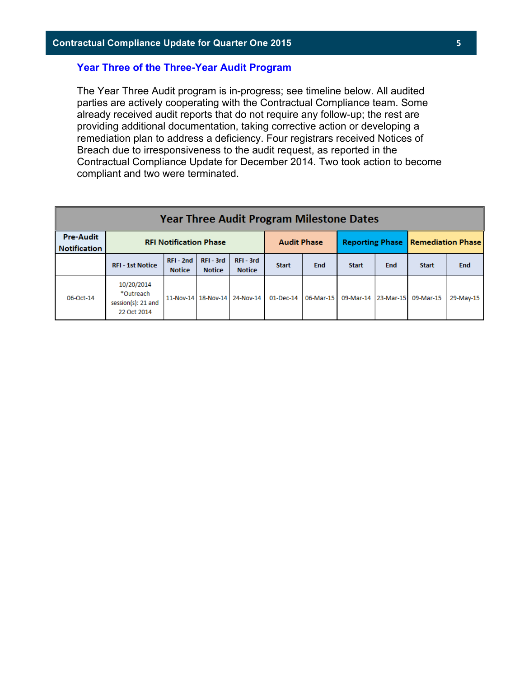### **Year Three of the Three-Year Audit Program**

The Year Three Audit program is in-progress; see timeline below. All audited parties are actively cooperating with the Contractual Compliance team. Some already received audit reports that do not require any follow-up; the rest are providing additional documentation, taking corrective action or developing a remediation plan to address a deficiency. Four registrars received Notices of Breach due to irresponsiveness to the audit request, as reported in the Contractual Compliance Update for December 2014. Two took action to become compliant and two were terminated.

| <b>Year Three Audit Program Milestone Dates</b> |                                                              |                              |                          |                                   |              |            |                               |                                            |              |            |
|-------------------------------------------------|--------------------------------------------------------------|------------------------------|--------------------------|-----------------------------------|--------------|------------|-------------------------------|--------------------------------------------|--------------|------------|
| <b>Pre-Audit</b><br><b>Notification</b>         | <b>RFI Notification Phase</b>                                |                              |                          | <b>Audit Phase</b>                |              |            |                               | <b>Reporting Phase   Remediation Phase</b> |              |            |
|                                                 | <b>RFI - 1st Notice</b>                                      | $RFI - 2nd$<br><b>Notice</b> | RFI-3rd<br><b>Notice</b> | RFI-3rd<br><b>Notice</b>          | <b>Start</b> | <b>End</b> | <b>Start</b>                  | End                                        | <b>Start</b> | <b>End</b> |
| 06-Oct-14                                       | 10/20/2014<br>*Outreach<br>session(s): 21 and<br>22 Oct 2014 |                              |                          | 11-Nov-14   18-Nov-14   24-Nov-14 | 01-Dec-14    |            | 06-Mar-15 09-Mar-14 23-Mar-15 |                                            | 09-Mar-15    | 29-May-15  |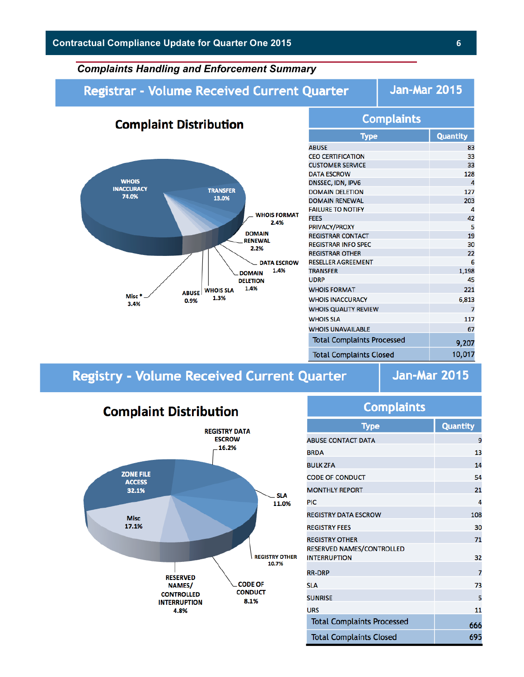## *Complaints Handling and Enforcement Summary*

## **Registrar - Volume Received Current Quarter**

**Jan-Mar 2015** 



| <b>Quantity</b><br>83<br>33<br>33<br>128 |
|------------------------------------------|
|                                          |
|                                          |
|                                          |
|                                          |
|                                          |
| 4                                        |
| 127                                      |
| 203                                      |
| 4                                        |
| 42                                       |
| 5                                        |
| 19                                       |
| 30                                       |
| 22                                       |
| 6                                        |
| 1,198                                    |
| 45                                       |
| 221                                      |
| 6,813                                    |
| 7                                        |
| 117                                      |
| 67                                       |
|                                          |
| 9,207                                    |
| 10,017                                   |
|                                          |

# **Registry - Volume Received Current Quarter**

**Jan-Mar 2015** 



| Type                                                  | <b>Quantity</b> |
|-------------------------------------------------------|-----------------|
| <b>BUSE CONTACT DATA</b>                              | ŗ               |
| <b>RDA</b>                                            | 13              |
| ULK ZFA                                               | 1 <sub>l</sub>  |
| ODE OF CONDUCT                                        | 5 <sub>4</sub>  |
| <b>MONTHLY REPORT</b>                                 | 2:              |
| IС                                                    | l               |
| <b>EGISTRY DATA ESCROW</b>                            | 108             |
| <b>EGISTRY FEES</b>                                   | 30              |
| <b>EGISTRY OTHER</b>                                  | 71              |
| <b>ESERVED NAMES/CONTROLLED</b><br><b>NTERRUPTION</b> | 3               |
| <b>R-DRP</b>                                          | ĵ               |
| LA                                                    | 73              |
| <b>UNRISE</b>                                         | Į               |
| <b>RS</b>                                             | 11              |
| <b>Total Complaints Processed</b>                     | 661             |

**Total Complaints Closed** 

695

**Complaints**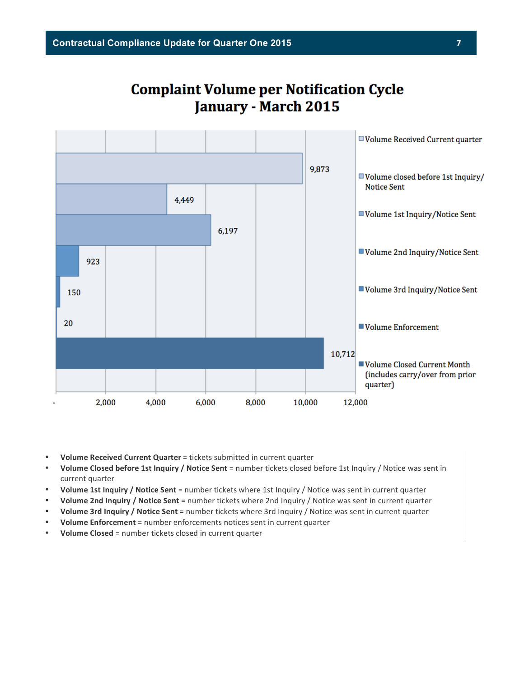# **Complaint Volume per Notification Cycle January - March 2015**



- Volume Received Current Quarter = tickets submitted in current quarter
- **Volume Closed before 1st Inquiry / Notice Sent** = number tickets closed before 1st Inquiry / Notice was sent in current quarter
- **Volume 1st Inquiry / Notice Sent** = number tickets where 1st Inquiry / Notice was sent in current quarter
- **Volume 2nd Inquiry / Notice Sent** = number tickets where 2nd Inquiry / Notice was sent in current quarter
- **Volume 3rd Inquiry / Notice Sent** = number tickets where 3rd Inquiry / Notice was sent in current quarter
- **Volume Enforcement** = number enforcements notices sent in current quarter
- **Volume Closed** = number tickets closed in current quarter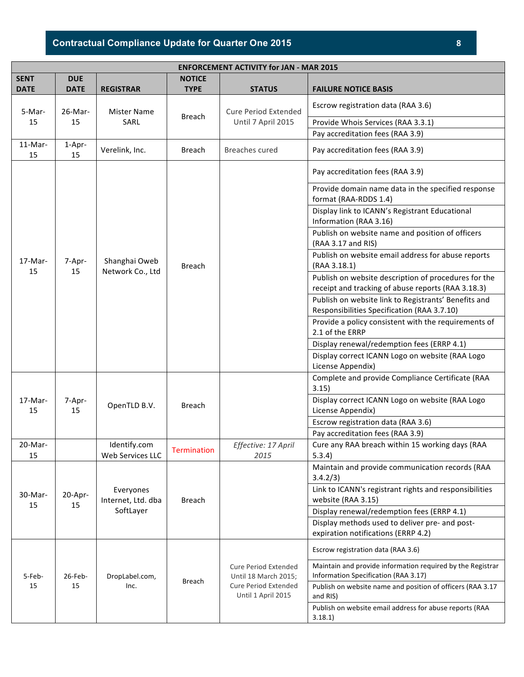## **Contractual Compliance Update for Quarter One 2015 8**

| <b>ENFORCEMENT ACTIVITY for JAN - MAR 2015</b> |               |                                              |                    |                                                                                                   |                                                                                                            |  |  |
|------------------------------------------------|---------------|----------------------------------------------|--------------------|---------------------------------------------------------------------------------------------------|------------------------------------------------------------------------------------------------------------|--|--|
| <b>SENT</b>                                    | <b>DUE</b>    | <b>NOTICE</b>                                |                    |                                                                                                   |                                                                                                            |  |  |
| <b>DATE</b>                                    | <b>DATE</b>   | <b>REGISTRAR</b>                             | <b>TYPE</b>        | <b>STATUS</b>                                                                                     | <b>FAILURE NOTICE BASIS</b>                                                                                |  |  |
| 5-Mar-<br>26-Mar-<br>15<br>15                  |               | <b>Mister Name</b>                           |                    | <b>Cure Period Extended</b>                                                                       | Escrow registration data (RAA 3.6)                                                                         |  |  |
|                                                | SARL          | <b>Breach</b>                                | Until 7 April 2015 | Provide Whois Services (RAA 3.3.1)                                                                |                                                                                                            |  |  |
|                                                |               |                                              |                    |                                                                                                   | Pay accreditation fees (RAA 3.9)                                                                           |  |  |
| 11-Mar-<br>15                                  | 1-Apr-<br>15  | Verelink, Inc.                               | Breach             | Breaches cured                                                                                    | Pay accreditation fees (RAA 3.9)                                                                           |  |  |
|                                                |               |                                              |                    |                                                                                                   | Pay accreditation fees (RAA 3.9)                                                                           |  |  |
|                                                |               |                                              | Breach             |                                                                                                   | Provide domain name data in the specified response<br>format (RAA-RDDS 1.4)                                |  |  |
|                                                |               |                                              |                    |                                                                                                   | Display link to ICANN's Registrant Educational<br>Information (RAA 3.16)                                   |  |  |
|                                                |               |                                              |                    |                                                                                                   | Publish on website name and position of officers<br>(RAA 3.17 and RIS)                                     |  |  |
| 17-Mar-                                        | 7-Apr-        | Shanghai Oweb                                |                    |                                                                                                   | Publish on website email address for abuse reports<br>(RAA 3.18.1)                                         |  |  |
| 15                                             | 15            | Network Co., Ltd                             |                    |                                                                                                   | Publish on website description of procedures for the<br>receipt and tracking of abuse reports (RAA 3.18.3) |  |  |
|                                                |               |                                              |                    |                                                                                                   | Publish on website link to Registrants' Benefits and<br>Responsibilities Specification (RAA 3.7.10)        |  |  |
|                                                |               |                                              |                    |                                                                                                   | Provide a policy consistent with the requirements of<br>2.1 of the ERRP                                    |  |  |
|                                                |               |                                              |                    |                                                                                                   | Display renewal/redemption fees (ERRP 4.1)                                                                 |  |  |
|                                                |               |                                              |                    |                                                                                                   | Display correct ICANN Logo on website (RAA Logo<br>License Appendix)                                       |  |  |
|                                                |               |                                              |                    |                                                                                                   | Complete and provide Compliance Certificate (RAA<br>3.15)                                                  |  |  |
| $17-Mar-$<br>15                                | 7-Apr-<br>15  | OpenTLD B.V.                                 | Breach             |                                                                                                   | Display correct ICANN Logo on website (RAA Logo<br>License Appendix)                                       |  |  |
|                                                |               |                                              |                    |                                                                                                   | Escrow registration data (RAA 3.6)                                                                         |  |  |
|                                                |               |                                              |                    |                                                                                                   | Pay accreditation fees (RAA 3.9)                                                                           |  |  |
| $20$ -Mar-<br>15                               |               | Identify.com<br><b>Web Services LLC</b>      | <b>Termination</b> | Effective: 17 April<br>2015                                                                       | Cure any RAA breach within 15 working days (RAA<br>5.3.4)                                                  |  |  |
|                                                |               |                                              |                    |                                                                                                   | Maintain and provide communication records (RAA<br>3.4.2/3)                                                |  |  |
| 30-Mar-                                        | 20-Apr-<br>15 | Everyones<br>Internet, Ltd. dba<br>SoftLayer | Breach             |                                                                                                   | Link to ICANN's registrant rights and responsibilities<br>website (RAA 3.15)                               |  |  |
| 15                                             |               |                                              |                    |                                                                                                   | Display renewal/redemption fees (ERRP 4.1)                                                                 |  |  |
|                                                |               |                                              |                    |                                                                                                   | Display methods used to deliver pre- and post-<br>expiration notifications (ERRP 4.2)                      |  |  |
|                                                |               |                                              |                    |                                                                                                   | Escrow registration data (RAA 3.6)                                                                         |  |  |
| 5-Feb-<br>15                                   | 26-Feb-<br>15 | DropLabel.com,<br>Inc.                       | Breach             | <b>Cure Period Extended</b><br>Until 18 March 2015;<br>Cure Period Extended<br>Until 1 April 2015 | Maintain and provide information required by the Registrar<br>Information Specification (RAA 3.17)         |  |  |
|                                                |               |                                              |                    |                                                                                                   | Publish on website name and position of officers (RAA 3.17<br>and RIS)                                     |  |  |
|                                                |               |                                              |                    |                                                                                                   | Publish on website email address for abuse reports (RAA                                                    |  |  |
|                                                |               |                                              |                    |                                                                                                   | 3.18.1                                                                                                     |  |  |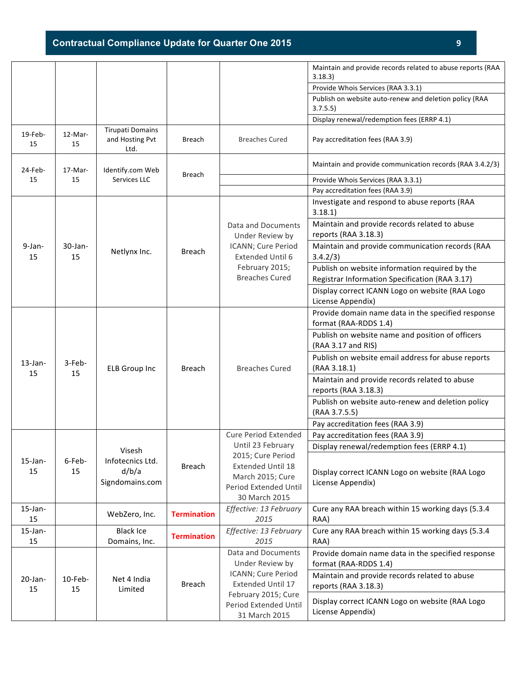|                  |                  |                                                    |                    |                                                                                                          | Maintain and provide records related to abuse reports (RAA<br>3.18.3)                            |
|------------------|------------------|----------------------------------------------------|--------------------|----------------------------------------------------------------------------------------------------------|--------------------------------------------------------------------------------------------------|
|                  |                  |                                                    |                    |                                                                                                          | Provide Whois Services (RAA 3.3.1)                                                               |
|                  |                  |                                                    |                    |                                                                                                          | Publish on website auto-renew and deletion policy (RAA<br>3.7.5.5)                               |
|                  |                  |                                                    |                    |                                                                                                          | Display renewal/redemption fees (ERRP 4.1)                                                       |
| $19$ -Feb-<br>15 | 12-Mar-<br>15    | <b>Tirupati Domains</b><br>and Hosting Pvt<br>Ltd. | <b>Breach</b>      | <b>Breaches Cured</b>                                                                                    | Pay accreditation fees (RAA 3.9)                                                                 |
| $24$ -Feb-       | 17-Mar-          | Identify.com Web<br>Services LLC                   | <b>Breach</b>      |                                                                                                          | Maintain and provide communication records (RAA 3.4.2/3)                                         |
| 15               | 15               |                                                    |                    |                                                                                                          | Provide Whois Services (RAA 3.3.1)                                                               |
|                  |                  |                                                    |                    |                                                                                                          | Pay accreditation fees (RAA 3.9)                                                                 |
|                  |                  |                                                    |                    |                                                                                                          | Investigate and respond to abuse reports (RAA<br>3.18.1                                          |
|                  |                  |                                                    | <b>Breach</b>      | Data and Documents<br>Under Review by                                                                    | Maintain and provide records related to abuse<br>reports (RAA 3.18.3)                            |
| $9-Ian-$<br>15   | $30$ -Jan-<br>15 | Netlynx Inc.                                       |                    | ICANN; Cure Period<br>Extended Until 6                                                                   | Maintain and provide communication records (RAA<br>3.4.2/3)                                      |
|                  |                  |                                                    |                    | February 2015;<br><b>Breaches Cured</b>                                                                  | Publish on website information required by the<br>Registrar Information Specification (RAA 3.17) |
|                  |                  |                                                    |                    |                                                                                                          | Display correct ICANN Logo on website (RAA Logo<br>License Appendix)                             |
|                  |                  |                                                    |                    |                                                                                                          | Provide domain name data in the specified response<br>format (RAA-RDDS 1.4)                      |
|                  | 3-Feb-<br>15     | <b>ELB Group Inc</b>                               | <b>Breach</b>      | <b>Breaches Cured</b>                                                                                    | Publish on website name and position of officers<br>(RAA 3.17 and RIS)                           |
| $13$ -Jan-       |                  |                                                    |                    |                                                                                                          | Publish on website email address for abuse reports<br>(RAA 3.18.1)                               |
| 15               |                  |                                                    |                    |                                                                                                          | Maintain and provide records related to abuse<br>reports (RAA 3.18.3)                            |
|                  |                  |                                                    |                    |                                                                                                          | Publish on website auto-renew and deletion policy<br>(RAA 3.7.5.5)                               |
|                  |                  |                                                    |                    |                                                                                                          | Pay accreditation fees (RAA 3.9)                                                                 |
|                  |                  |                                                    |                    | <b>Cure Period Extended</b>                                                                              | Pay accreditation fees (RAA 3.9)                                                                 |
|                  |                  | Visesh                                             |                    | Until 23 February                                                                                        | Display renewal/redemption fees (ERRP 4.1)                                                       |
| $15$ -Jan-<br>15 | 6-Feb-<br>15     | Infotecnics Ltd.<br>d/b/a<br>Signdomains.com       | <b>Breach</b>      | 2015; Cure Period<br>Extended Until 18<br>March 2015; Cure<br>Period Extended Until<br>30 March 2015     | Display correct ICANN Logo on website (RAA Logo<br>License Appendix)                             |
| $15$ -Jan-<br>15 |                  | WebZero, Inc.                                      | <b>Termination</b> | Effective: 13 February<br>2015                                                                           | Cure any RAA breach within 15 working days (5.3.4<br>RAA)                                        |
| $15$ -Jan-<br>15 |                  | <b>Black Ice</b><br>Domains, Inc.                  | <b>Termination</b> | Effective: 13 February<br>2015                                                                           | Cure any RAA breach within 15 working days (5.3.4<br>RAA)                                        |
|                  |                  |                                                    |                    | Data and Documents<br>Under Review by                                                                    | Provide domain name data in the specified response<br>format (RAA-RDDS 1.4)                      |
| $20$ -Jan-<br>15 | $10$ -Feb-<br>15 | Net 4 India<br>Limited                             | Breach             | ICANN; Cure Period<br>Extended Until 17<br>February 2015; Cure<br>Period Extended Until<br>31 March 2015 | Maintain and provide records related to abuse<br>reports (RAA 3.18.3)                            |
|                  |                  |                                                    |                    |                                                                                                          | Display correct ICANN Logo on website (RAA Logo<br>License Appendix)                             |